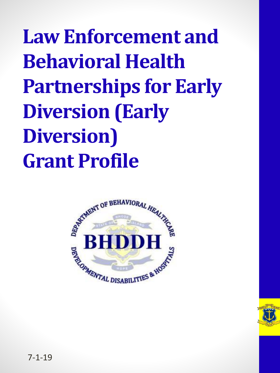**Law Enforcement and Behavioral Health Partnerships for Early Diversion (Early Diversion) Grant Profile**



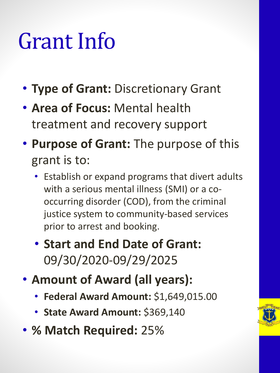### Grant Info

- **Type of Grant:** Discretionary Grant
- **Area of Focus:** Mental health treatment and recovery support
- **Purpose of Grant:** The purpose of this grant is to:
	- Establish or expand programs that divert adults with a serious mental illness (SMI) or a cooccurring disorder (COD), from the criminal justice system to community-based services prior to arrest and booking.
	- **Start and End Date of Grant:**  09/30/2020-09/29/2025
- **Amount of Award (all years):**
	- **Federal Award Amount:** \$1,649,015.00
	- **State Award Amount:** \$369,140
- **% Match Required:** 25%

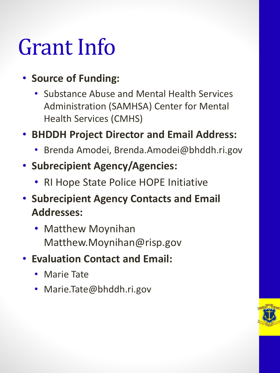#### Grant Info

#### • **Source of Funding:**

- Substance Abuse and Mental Health Services Administration (SAMHSA) Center for Mental Health Services (CMHS)
- **BHDDH Project Director and Email Address:** 
	- Brenda Amodei, Brenda.Amodei@bhddh.ri.gov
- **Subrecipient Agency/Agencies:** 
	- RI Hope State Police HOPE Initiative
- **Subrecipient Agency Contacts and Email Addresses:** 
	- Matthew Moynihan Matthew.Moynihan@risp.gov
- **Evaluation Contact and Email:** 
	- Marie Tate
	- Marie.Tate@bhddh.ri.gov

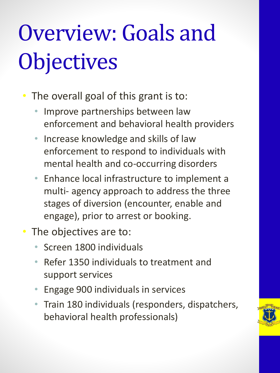# Overview: Goals and **Objectives**

- The overall goal of this grant is to:
	- Improve partnerships between law enforcement and behavioral health providers
	- Increase knowledge and skills of law enforcement to respond to individuals with mental health and co-occurring disorders
	- Enhance local infrastructure to implement a multi- agency approach to address the three stages of diversion (encounter, enable and engage), prior to arrest or booking.
- The objectives are to:
	- Screen 1800 individuals
	- Refer 1350 individuals to treatment and support services
	- Engage 900 individuals in services
	- Train 180 individuals (responders, dispatchers, behavioral health professionals)

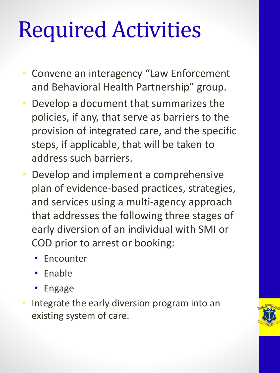## Required Activities

- Convene an interagency "Law Enforcement and Behavioral Health Partnership" group.
- Develop a document that summarizes the policies, if any, that serve as barriers to the provision of integrated care, and the specific steps, if applicable, that will be taken to address such barriers.
- Develop and implement a comprehensive plan of evidence-based practices, strategies, and services using a multi-agency approach that addresses the following three stages of early diversion of an individual with SMI or COD prior to arrest or booking:
	- Encounter
	- Enable
	- Engage
- Integrate the early diversion program into an existing system of care.

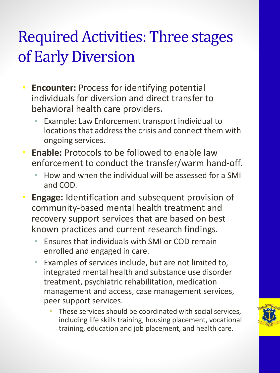#### Required Activities: Three stages of Early Diversion

- **Encounter:** Process for identifying potential individuals for diversion and direct transfer to behavioral health care providers**.**
	- Example: Law Enforcement transport individual to locations that address the crisis and connect them with ongoing services.
- **Enable:** Protocols to be followed to enable law enforcement to conduct the transfer/warm hand-off.
	- How and when the individual will be assessed for a SMI and COD.
- **Engage:** Identification and subsequent provision of community-based mental health treatment and recovery support services that are based on best known practices and current research findings.
	- Ensures that individuals with SMI or COD remain enrolled and engaged in care.
	- Examples of services include, but are not limited to, integrated mental health and substance use disorder treatment, psychiatric rehabilitation, medication management and access, case management services, peer support services.
		- These services should be coordinated with social services, including life skills training, housing placement, vocational training, education and job placement, and health care.

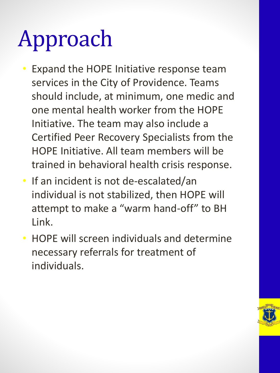# Approach

- Expand the HOPE Initiative response team services in the City of Providence. Teams should include, at minimum, one medic and one mental health worker from the HOPE Initiative. The team may also include a Certified Peer Recovery Specialists from the HOPE Initiative. All team members will be trained in behavioral health crisis response.
- If an incident is not de-escalated/an individual is not stabilized, then HOPE will attempt to make a "warm hand-off" to BH Link.
- HOPE will screen individuals and determine necessary referrals for treatment of individuals.